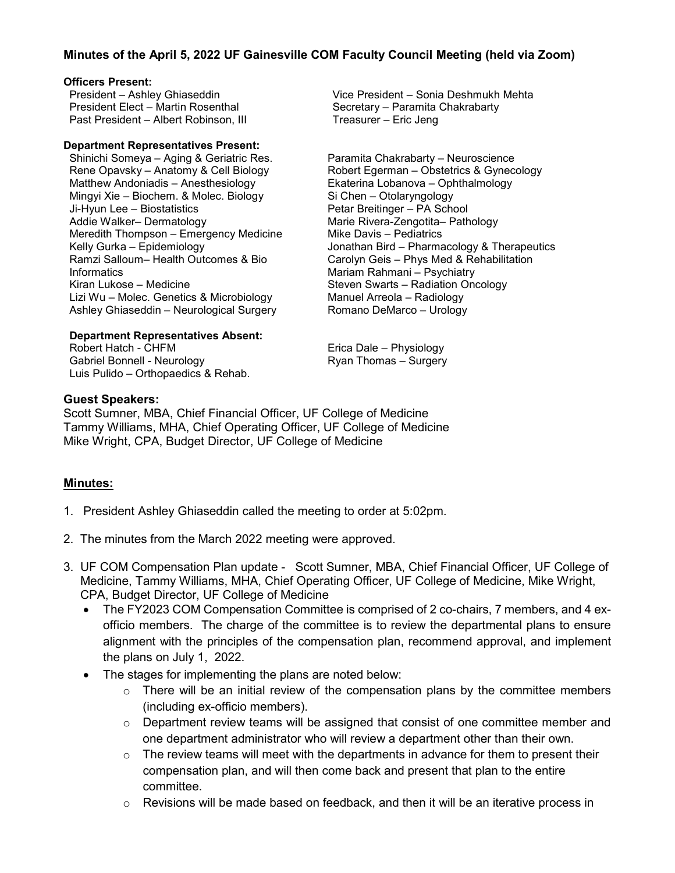# **Minutes of the April 5, 2022 UF Gainesville COM Faculty Council Meeting (held via Zoom)**

### **Officers Present:**

President – Ashley Ghiaseddin President Elect – Martin Rosenthal Past President – Albert Robinson, III

#### **Department Representatives Present:**

Shinichi Someya – Aging & Geriatric Res. Rene Opavsky – Anatomy & Cell Biology Matthew Andoniadis – Anesthesiology Mingyi Xie – Biochem. & Molec. Biology Ji-Hyun Lee – Biostatistics Addie Walker– Dermatology Meredith Thompson – Emergency Medicine Kelly Gurka – Epidemiology Ramzi Salloum– Health Outcomes & Bio Informatics Kiran Lukose – Medicine Lizi Wu – Molec. Genetics & Microbiology Ashley Ghiaseddin – Neurological Surgery

#### **Department Representatives Absent:**

Robert Hatch - CHFM Gabriel Bonnell - Neurology Luis Pulido – Orthopaedics & Rehab. Vice President – Sonia Deshmukh Mehta Secretary – Paramita Chakrabarty Treasurer – Eric Jeng

Paramita Chakrabarty – Neuroscience Robert Egerman – Obstetrics & Gynecology Ekaterina Lobanova – Ophthalmology Si Chen – Otolaryngology Petar Breitinger – PA School Marie Rivera-Zengotita– Pathology Mike Davis – Pediatrics Jonathan Bird – Pharmacology & Therapeutics Carolyn Geis – Phys Med & Rehabilitation Mariam Rahmani – Psychiatry Steven Swarts – Radiation Oncology Manuel Arreola – Radiology Romano DeMarco – Urology

Erica Dale – Physiology Ryan Thomas – Surgery

### **Guest Speakers:**

Scott Sumner, MBA, Chief Financial Officer, UF College of Medicine Tammy Williams, MHA, Chief Operating Officer, UF College of Medicine Mike Wright, CPA, Budget Director, UF College of Medicine

## **Minutes:**

- 1. President Ashley Ghiaseddin called the meeting to order at 5:02pm.
- 2. The minutes from the March 2022 meeting were approved.
- 3. UF COM Compensation Plan update Scott Sumner, MBA, Chief Financial Officer, UF College of Medicine, Tammy Williams, MHA, Chief Operating Officer, UF College of Medicine, Mike Wright, CPA, Budget Director, UF College of Medicine
	- The FY2023 COM Compensation Committee is comprised of 2 co-chairs, 7 members, and 4 exofficio members. The charge of the committee is to review the departmental plans to ensure alignment with the principles of the compensation plan, recommend approval, and implement the plans on July 1, 2022.
	- The stages for implementing the plans are noted below:
		- $\circ$  There will be an initial review of the compensation plans by the committee members (including ex-officio members).
		- $\circ$  Department review teams will be assigned that consist of one committee member and one department administrator who will review a department other than their own.
		- $\circ$  The review teams will meet with the departments in advance for them to present their compensation plan, and will then come back and present that plan to the entire committee.
		- $\circ$  Revisions will be made based on feedback, and then it will be an iterative process in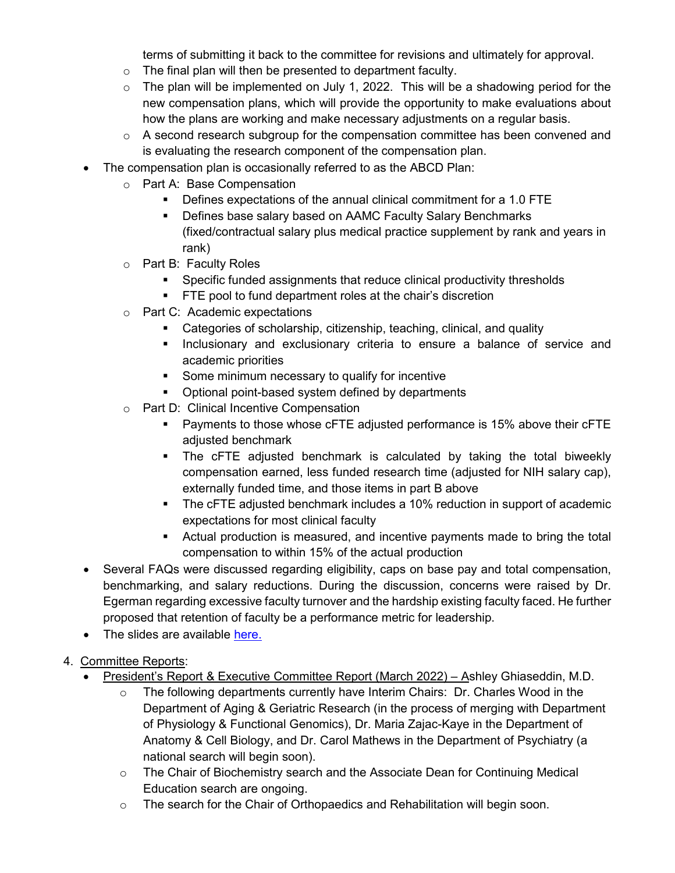terms of submitting it back to the committee for revisions and ultimately for approval.

- $\circ$  The final plan will then be presented to department faculty.
- $\circ$  The plan will be implemented on July 1, 2022. This will be a shadowing period for the new compensation plans, which will provide the opportunity to make evaluations about how the plans are working and make necessary adjustments on a regular basis.
- $\circ$  A second research subgroup for the compensation committee has been convened and is evaluating the research component of the compensation plan.
- The compensation plan is occasionally referred to as the ABCD Plan:
	- o Part A: Base Compensation
		- Defines expectations of the annual clinical commitment for a 1.0 FTE
		- **Defines base salary based on AAMC Faculty Salary Benchmarks** (fixed/contractual salary plus medical practice supplement by rank and years in rank)
	- o Part B: Faculty Roles
		- **Specific funded assignments that reduce clinical productivity thresholds**
		- **FTE pool to fund department roles at the chair's discretion**
	- o Part C: Academic expectations
		- Categories of scholarship, citizenship, teaching, clinical, and quality
		- **Inclusionary and exclusionary criteria to ensure a balance of service and** academic priorities
		- **Some minimum necessary to qualify for incentive**
		- Optional point-based system defined by departments
	- o Part D: Clinical Incentive Compensation
		- **Payments to those whose cFTE adjusted performance is 15% above their cFTE** adjusted benchmark
		- The cFTE adjusted benchmark is calculated by taking the total biweekly compensation earned, less funded research time (adjusted for NIH salary cap), externally funded time, and those items in part B above
		- The cFTE adjusted benchmark includes a 10% reduction in support of academic expectations for most clinical faculty
		- Actual production is measured, and incentive payments made to bring the total compensation to within 15% of the actual production
- Several FAQs were discussed regarding eligibility, caps on base pay and total compensation, benchmarking, and salary reductions. During the discussion, concerns were raised by Dr. Egerman regarding excessive faculty turnover and the hardship existing faculty faced. He further proposed that retention of faculty be a performance metric for leadership.
- The slides are available [here.](https://facultycouncil-a2.sites.medinfo.ufl.edu/wordpress/files/2022/05/Compensation-Plan-Update-Faculty-Council.pdf)
- 4. Committee Reports:
	- President's Report & Executive Committee Report (March 2022) Ashley Ghiaseddin, M.D.
		- $\circ$  The following departments currently have Interim Chairs: Dr. Charles Wood in the Department of Aging & Geriatric Research (in the process of merging with Department of Physiology & Functional Genomics), Dr. Maria Zajac-Kaye in the Department of Anatomy & Cell Biology, and Dr. Carol Mathews in the Department of Psychiatry (a national search will begin soon).
		- o The Chair of Biochemistry search and the Associate Dean for Continuing Medical Education search are ongoing.
		- o The search for the Chair of Orthopaedics and Rehabilitation will begin soon.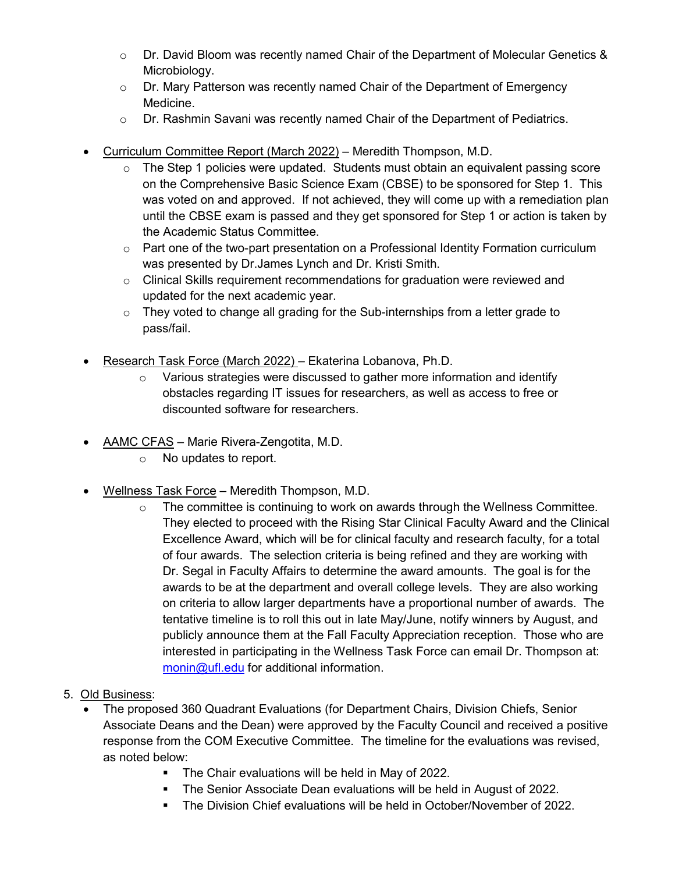- $\circ$  Dr. David Bloom was recently named Chair of the Department of Molecular Genetics & Microbiology.
- $\circ$  Dr. Mary Patterson was recently named Chair of the Department of Emergency Medicine.
- $\circ$  Dr. Rashmin Savani was recently named Chair of the Department of Pediatrics.
- Curriculum Committee Report (March 2022) Meredith Thompson, M.D.
	- o The Step 1 policies were updated. Students must obtain an equivalent passing score on the Comprehensive Basic Science Exam (CBSE) to be sponsored for Step 1. This was voted on and approved. If not achieved, they will come up with a remediation plan until the CBSE exam is passed and they get sponsored for Step 1 or action is taken by the Academic Status Committee.
	- o Part one of the two-part presentation on a Professional Identity Formation curriculum was presented by Dr.James Lynch and Dr. Kristi Smith.
	- $\circ$  Clinical Skills requirement recommendations for graduation were reviewed and updated for the next academic year.
	- $\circ$  They voted to change all grading for the Sub-internships from a letter grade to pass/fail.
- Research Task Force (March 2022) Ekaterina Lobanova, Ph.D.
	- $\circ$  Various strategies were discussed to gather more information and identify obstacles regarding IT issues for researchers, as well as access to free or discounted software for researchers.
- AAMC CFAS Marie Rivera-Zengotita, M.D.
	- o No updates to report.
- Wellness Task Force Meredith Thompson, M.D.
	- $\circ$  The committee is continuing to work on awards through the Wellness Committee. They elected to proceed with the Rising Star Clinical Faculty Award and the Clinical Excellence Award, which will be for clinical faculty and research faculty, for a total of four awards. The selection criteria is being refined and they are working with Dr. Segal in Faculty Affairs to determine the award amounts. The goal is for the awards to be at the department and overall college levels. They are also working on criteria to allow larger departments have a proportional number of awards. The tentative timeline is to roll this out in late May/June, notify winners by August, and publicly announce them at the Fall Faculty Appreciation reception. Those who are interested in participating in the Wellness Task Force can email Dr. Thompson at: [monin@ufl.edu](mailto:monin@ufl.edu) for additional information.
- 5. Old Business:
	- The proposed 360 Quadrant Evaluations (for Department Chairs, Division Chiefs, Senior Associate Deans and the Dean) were approved by the Faculty Council and received a positive response from the COM Executive Committee. The timeline for the evaluations was revised, as noted below:
		- **The Chair evaluations will be held in May of 2022.**
		- **The Senior Associate Dean evaluations will be held in August of 2022.**
		- The Division Chief evaluations will be held in October/November of 2022.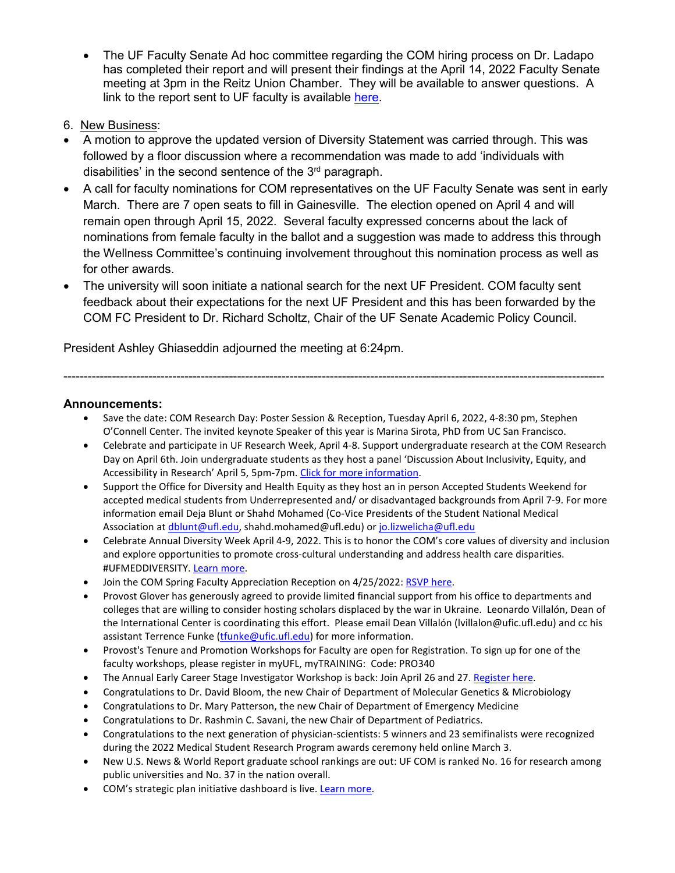- The UF Faculty Senate Ad hoc committee regarding the COM hiring process on Dr. Ladapo has completed their report and will present their findings at the April 14, 2022 Faculty Senate meeting at 3pm in the Reitz Union Chamber. They will be available to answer questions. A link to the report sent to UF faculty is available [here.](https://fora.aa.ufl.edu/docs/38/2021-2022/Ladapo%20Final%20Report%203-30-22.pdf)
- 6. New Business:
- A motion to approve the updated version of Diversity Statement was carried through. This was followed by a floor discussion where a recommendation was made to add 'individuals with disabilities' in the second sentence of the  $3<sup>rd</sup>$  paragraph.
- A call for faculty nominations for COM representatives on the UF Faculty Senate was sent in early March. There are 7 open seats to fill in Gainesville. The election opened on April 4 and will remain open through April 15, 2022. Several faculty expressed concerns about the lack of nominations from female faculty in the ballot and a suggestion was made to address this through the Wellness Committee's continuing involvement throughout this nomination process as well as for other awards.
- The university will soon initiate a national search for the next UF President. COM faculty sent feedback about their expectations for the next UF President and this has been forwarded by the COM FC President to Dr. Richard Scholtz, Chair of the UF Senate Academic Policy Council.

President Ashley Ghiaseddin adjourned the meeting at 6:24pm.

# **Announcements:**

• Save the date: COM Research Day: Poster Session & Reception, Tuesday April 6, 2022, 4-8:30 pm, Stephen O'Connell Center. The invited keynote Speaker of this year is Marina Sirota, PhD from UC San Francisco.

--------------------------------------------------------------------------------------------------------------------------------------

- Celebrate and participate in UF Research Week, April 4-8. Support undergraduate research at the COM Research Day on April 6th. Join undergraduate students as they host a panel 'Discussion About Inclusivity, Equity, and Accessibility in Research' April 5, 5pm-7pm. Click for more information.
- Support the Office for Diversity and Health Equity as they host an in person Accepted Students Weekend for accepted medical students from Underrepresented and/ or disadvantaged backgrounds from April 7-9. For more information email Deja Blunt or Shahd Mohamed (Co-Vice Presidents of the Student National Medical Association a[t dblunt@ufl.edu,](mailto:dblunt@ufl.edu) shahd.mohamed@ufl.edu) or [jo.lizwelicha@ufl.edu](mailto:jo.lizwelicha@ufl.edu)
- Celebrate Annual Diversity Week April 4-9, 2022. This is to honor the COM's core values of diversity and inclusion and explore opportunities to promote cross-cultural understanding and address health care disparities. #UFMEDDIVERSITY[. Learn more.](https://odhe.med.ufl.edu/events-2/diversityweek/)
- Join the COM Spring Faculty Appreciation Reception on 4/25/2022[: RSVP here.](https://facultyaffairs.med.ufl.edu/2022/03/21/rsvp-for-the-faculty-appreciation-reception-on-april-25-2022/)
- Provost Glover has generously agreed to provide limited financial support from his office to departments and colleges that are willing to consider hosting scholars displaced by the war in Ukraine. Leonardo Villalón, Dean of the International Center is coordinating this effort. Please email Dean Villalón (lvillalon@ufic.ufl.edu) and cc his assistant Terrence Funke [\(tfunke@ufic.ufl.edu\)](mailto:tfunke@ufic.ufl.edu) for more information.
- Provost's Tenure and Promotion Workshops for Faculty are open for Registration. To sign up for one of the faculty workshops, please register in myUFL, myTRAINING: Code: PRO340
- The Annual Early Career Stage Investigator Workshop is back: Join April 26 and 27[. Register here.](https://ufl.qualtrics.com/jfe/form/SV_eqXFaWZdNkQGOxM)
- Congratulations to Dr. David Bloom, the new Chair of Department of Molecular Genetics & Microbiology
- Congratulations to Dr. Mary Patterson, the new Chair of Department of Emergency Medicine
- Congratulations to Dr. Rashmin C. Savani, the new Chair of Department of Pediatrics.
- Congratulations to the next generation of physician-scientists: 5 winners and 23 semifinalists were recognized during the 2022 Medical Student Research Program awards ceremony held online March 3.
- New U.S. News & World Report graduate school rankings are out: UF COM is ranked No. 16 for research among public universities and No. 37 in the nation overall.
- COM's strategic plan initiative dashboard is live[. Learn more.](https://med.ufl.edu/about/strategic-plan/#dashboard)